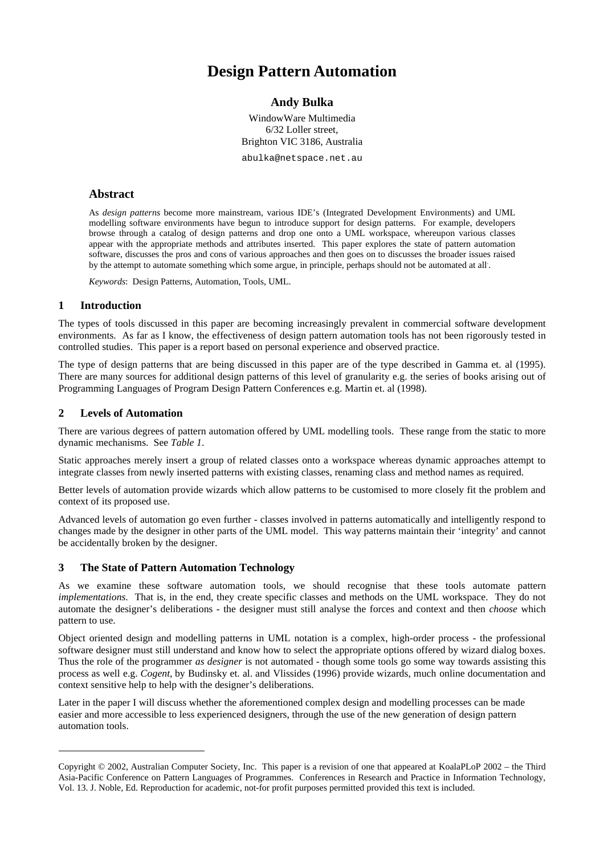# **Design Pattern Automation**

# **Andy Bulka**

WindowWare Multimedia 6/32 Loller street, Brighton VIC 3186, Australia

abulka@netspace.net.au

#### **Abstract**

As *design patterns* become more mainstream, various IDE's (Integrated Development Environments) and UML modelling software environments have begun to introduce support for design patterns. For example, developers browse through a catalog of design patterns and drop one onto a UML workspace, whereupon various classes appear with the appropriate methods and attributes inserted. This paper explores the state of pattern automation software, discusses the pros and cons of various approaches and then goes on to discusses the broader issues raised by the attempt to automate something which some argue, in principle, perhaps should not be automated at all.

*Keywords*: Design Patterns, Automation, Tools, UML.

#### **1 Introduction**

The types of tools discussed in this paper are becoming increasingly prevalent in commercial software development environments. As far as I know, the effectiveness of design pattern automation tools has not been rigorously tested in controlled studies. This paper is a report based on personal experience and observed practice.

The type of design patterns that are being discussed in this paper are of the type described in Gamma et. al (1995). There are many sources for additional design patterns of this level of granularity e.g. the series of books arising out of Programming Languages of Program Design Pattern Conferences e.g. Martin et. al (1998).

#### **2 Levels of Automation**

l

There are various degrees of pattern automation offered by UML modelling tools. These range from the static to more dynamic mechanisms. See *Table 1*.

Static approaches merely insert a group of related classes onto a workspace whereas dynamic approaches attempt to integrate classes from newly inserted patterns with existing classes, renaming class and method names as required.

Better levels of automation provide wizards which allow patterns to be customised to more closely fit the problem and context of its proposed use.

Advanced levels of automation go even further - classes involved in patterns automatically and intelligently respond to changes made by the designer in other parts of the UML model. This way patterns maintain their 'integrity' and cannot be accidentally broken by the designer.

#### **3 The State of Pattern Automation Technology**

As we examine these software automation tools, we should recognise that these tools automate pattern *implementations*. That is, in the end, they create specific classes and methods on the UML workspace. They do not automate the designer's deliberations - the designer must still analyse the forces and context and then *choose* which pattern to use.

Object oriented design and modelling patterns in UML notation is a complex, high-order process - the professional software designer must still understand and know how to select the appropriate options offered by wizard dialog boxes. Thus the role of the programmer *as designer* is not automated - though some tools go some way towards assisting this process as well e.g. *Cogent*, by Budinsky et. al. and Vlissides (1996) provide wizards, much online documentation and context sensitive help to help with the designer's deliberations.

Later in the paper I will discuss whether the aforementioned complex design and modelling processes can be made easier and more accessible to less experienced designers, through the use of the new generation of design pattern automation tools.

Copyright © 2002, Australian Computer Society, Inc. This paper is a revision of one that appeared at KoalaPLoP 2002 – the Third Asia-Pacific Conference on Pattern Languages of Programmes. Conferences in Research and Practice in Information Technology, Vol. 13. J. Noble, Ed. Reproduction for academic, not-for profit purposes permitted provided this text is included.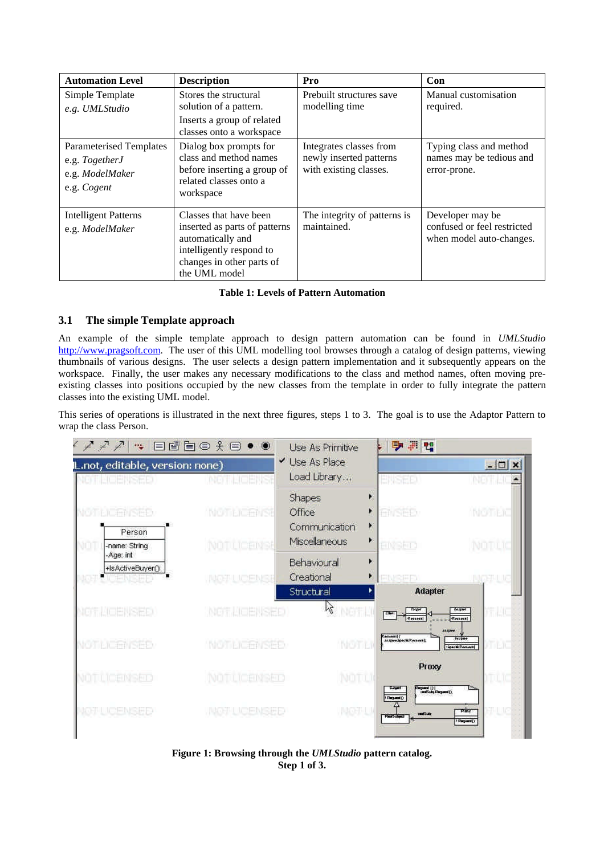| <b>Automation Level</b>                                                            | <b>Description</b>                                                                                                                                     | Pro                                                                          | Con                                                                         |
|------------------------------------------------------------------------------------|--------------------------------------------------------------------------------------------------------------------------------------------------------|------------------------------------------------------------------------------|-----------------------------------------------------------------------------|
| Simple Template<br>e.g. UMLStudio                                                  | Stores the structural<br>solution of a pattern.<br>Inserts a group of related                                                                          | Prebuilt structures save<br>modelling time                                   | Manual customisation<br>required.                                           |
|                                                                                    | classes onto a workspace                                                                                                                               |                                                                              |                                                                             |
| <b>Parameterised Templates</b><br>e.g. TogetherJ<br>e.g. ModelMaker<br>e.g. Cogent | Dialog box prompts for<br>class and method names<br>before inserting a group of<br>related classes onto a<br>workspace                                 | Integrates classes from<br>newly inserted patterns<br>with existing classes. | Typing class and method<br>names may be tedious and<br>error-prone.         |
| <b>Intelligent Patterns</b><br>e.g. ModelMaker                                     | Classes that have been<br>inserted as parts of patterns<br>automatically and<br>intelligently respond to<br>changes in other parts of<br>the UML model | The integrity of patterns is<br>maintained.                                  | Developer may be<br>confused or feel restricted<br>when model auto-changes. |

#### **Table 1: Levels of Pattern Automation**

#### **3.1 The simple Template approach**

An example of the simple template approach to design pattern automation can be found in *UMLStudio* http://www.pragsoft.com. The user of this UML modelling tool browses through a catalog of design patterns, viewing thumbnails of various designs. The user selects a design pattern implementation and it subsequently appears on the workspace. Finally, the user makes any necessary modifications to the class and method names, often moving preexisting classes into positions occupied by the new classes from the template in order to fully integrate the pattern classes into the existing UML model.

This series of operations is illustrated in the next three figures, steps 1 to 3. The goal is to use the Adaptor Pattern to wrap the class Person.



**Figure 1: Browsing through the** *UMLStudio* **pattern catalog. Step 1 of 3.**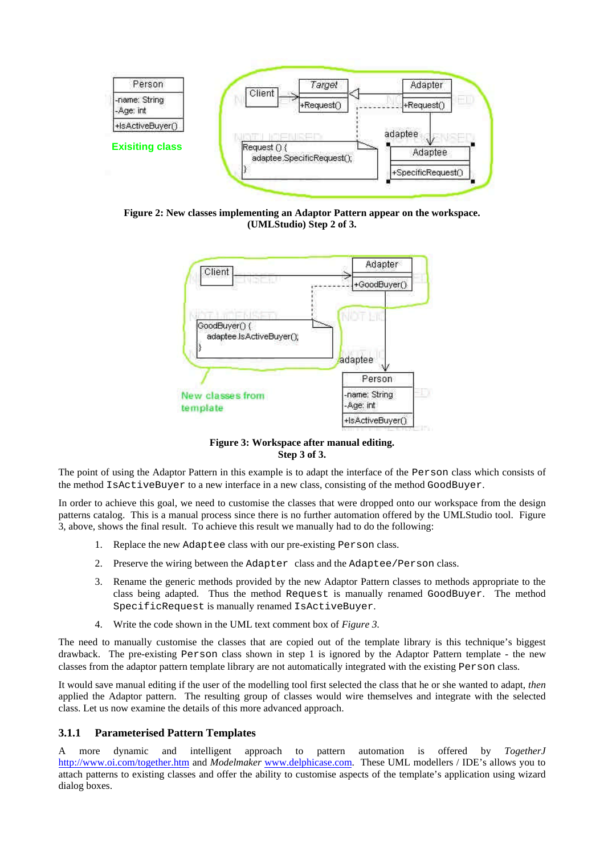

**Figure 2: New classes implementing an Adaptor Pattern appear on the workspace. (UMLStudio) Step 2 of 3.**



**Figure 3: Workspace after manual editing. Step 3 of 3.**

The point of using the Adaptor Pattern in this example is to adapt the interface of the Person class which consists of the method IsActiveBuyer to a new interface in a new class, consisting of the method GoodBuyer.

In order to achieve this goal, we need to customise the classes that were dropped onto our workspace from the design patterns catalog. This is a manual process since there is no further automation offered by the UMLStudio tool. Figure 3, above, shows the final result. To achieve this result we manually had to do the following:

- 1. Replace the new Adaptee class with our pre-existing Person class.
- 2. Preserve the wiring between the Adapter class and the Adaptee/Person class.
- 3. Rename the generic methods provided by the new Adaptor Pattern classes to methods appropriate to the class being adapted. Thus the method Request is manually renamed GoodBuyer. The method SpecificRequest is manually renamed IsActiveBuyer.
- 4. Write the code shown in the UML text comment box of *Figure 3.*

The need to manually customise the classes that are copied out of the template library is this technique's biggest drawback. The pre-existing Person class shown in step 1 is ignored by the Adaptor Pattern template - the new classes from the adaptor pattern template library are not automatically integrated with the existing Person class.

It would save manual editing if the user of the modelling tool first selected the class that he or she wanted to adapt, *then* applied the Adaptor pattern. The resulting group of classes would wire themselves and integrate with the selected class. Let us now examine the details of this more advanced approach.

#### **3.1.1 Parameterised Pattern Templates**

A more dynamic and intelligent approach to pattern automation is offered by *TogetherJ* http://www.oi.com/together.htm and *Modelmaker* www.delphicase.com. These UML modellers / IDE's allows you to attach patterns to existing classes and offer the ability to customise aspects of the template's application using wizard dialog boxes.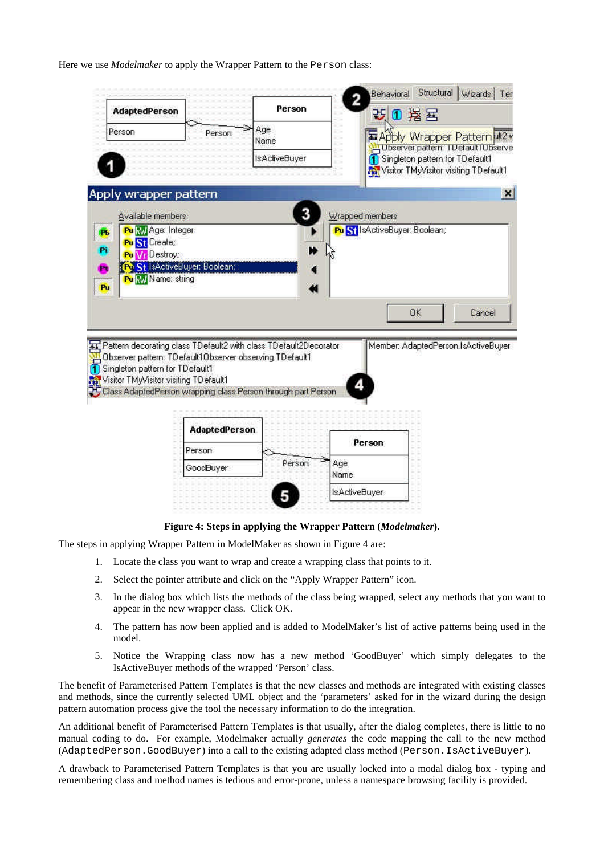Here we use *Modelmaker* to apply the Wrapper Pattern to the Person class:



#### **Figure 4: Steps in applying the Wrapper Pattern (***Modelmaker***).**

The steps in applying Wrapper Pattern in ModelMaker as shown in Figure 4 are:

- 1. Locate the class you want to wrap and create a wrapping class that points to it.
- 2. Select the pointer attribute and click on the "Apply Wrapper Pattern" icon.
- 3. In the dialog box which lists the methods of the class being wrapped, select any methods that you want to appear in the new wrapper class. Click OK.
- 4. The pattern has now been applied and is added to ModelMaker's list of active patterns being used in the model.
- 5. Notice the Wrapping class now has a new method 'GoodBuyer' which simply delegates to the IsActiveBuyer methods of the wrapped 'Person' class.

The benefit of Parameterised Pattern Templates is that the new classes and methods are integrated with existing classes and methods, since the currently selected UML object and the 'parameters' asked for in the wizard during the design pattern automation process give the tool the necessary information to do the integration.

An additional benefit of Parameterised Pattern Templates is that usually, after the dialog completes, there is little to no manual coding to do. For example, Modelmaker actually *generates* the code mapping the call to the new method (AdaptedPerson.GoodBuyer) into a call to the existing adapted class method (Person.IsActiveBuyer).

A drawback to Parameterised Pattern Templates is that you are usually locked into a modal dialog box - typing and remembering class and method names is tedious and error-prone, unless a namespace browsing facility is provided.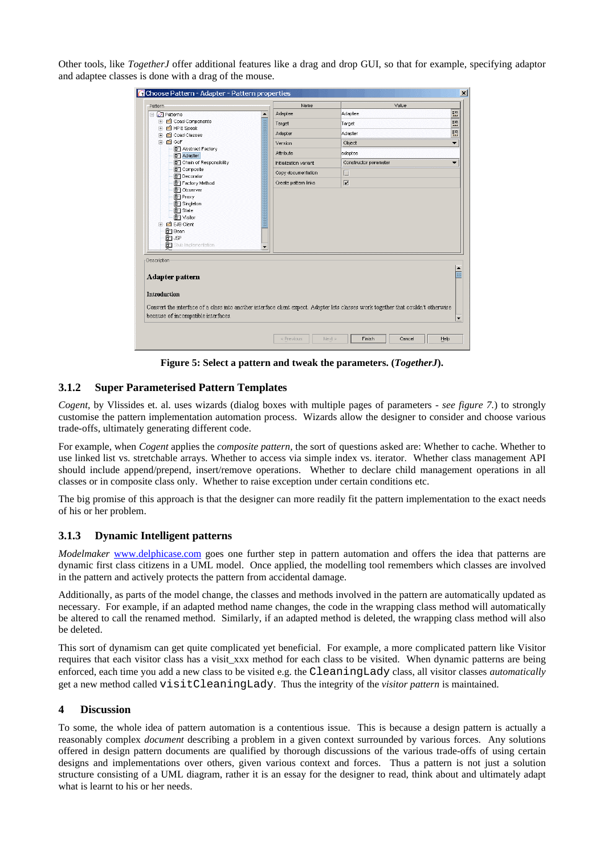Other tools, like *TogetherJ* offer additional features like a drag and drop GUI, so that for example, specifying adaptor and adaptee classes is done with a drag of the mouse.

| Pattern                                                                                                                                                                                                                                                                                                                    | Name                        | Value                   |                                       |
|----------------------------------------------------------------------------------------------------------------------------------------------------------------------------------------------------------------------------------------------------------------------------------------------------------------------------|-----------------------------|-------------------------|---------------------------------------|
| 日日<br>日本                                                                                                                                                                                                                                                                                                                   | Adaptee<br>$\blacktriangle$ | Adaptee                 | 翳                                     |
| E Coad Components                                                                                                                                                                                                                                                                                                          | ā<br>Target                 | Target                  | 翳                                     |
| E El HP E Speak<br>Coad Classes<br>田                                                                                                                                                                                                                                                                                       | Adapter                     | Adapter                 | $\frac{1}{2} \frac{1}{2} \frac{1}{2}$ |
| F in GoF                                                                                                                                                                                                                                                                                                                   | Version                     | Object                  | ▼                                     |
| <b>B</b> Abstract Factory<br><b>B</b> Adapter                                                                                                                                                                                                                                                                              | Attribute                   | adaptee                 |                                       |
| <sup>1</sup> Chain of Responsibility                                                                                                                                                                                                                                                                                       | Initialization variant      | Constructor parameter   |                                       |
| <b>B</b> <sup>-</sup> ] Composite<br><b>B</b> <sup>-</sup> ] Decorator                                                                                                                                                                                                                                                     | Copy documentation          | П                       |                                       |
| <b>B</b> Factory Method                                                                                                                                                                                                                                                                                                    | Create pattern links        | $\overline{\mathbf{v}}$ |                                       |
| <b>B</b> <sup>-</sup> ] Bean<br><b>B</b> <sup>-</sup> T JSP<br>67 Stub Implementation<br>Description<br><b>Adapter pattern</b><br>Introduction<br>Convert the interface of a class into another interface client expect. Adapter lets classes work together that couldn't otherwise<br>because of incompatible interfaces. | $\overline{\phantom{0}}$    |                         |                                       |
|                                                                                                                                                                                                                                                                                                                            |                             |                         | $\overline{\phantom{a}}$              |
|                                                                                                                                                                                                                                                                                                                            |                             |                         |                                       |

**Figure 5: Select a pattern and tweak the parameters. (***TogetherJ***).**

# **3.1.2 Super Parameterised Pattern Templates**

*Cogent*, by Vlissides et. al. uses wizards (dialog boxes with multiple pages of parameters - *see figure 7.*) to strongly customise the pattern implementation automation process. Wizards allow the designer to consider and choose various trade-offs, ultimately generating different code.

For example, when *Cogent* applies the *composite pattern*, the sort of questions asked are: Whether to cache. Whether to use linked list vs. stretchable arrays. Whether to access via simple index vs. iterator. Whether class management API should include append/prepend, insert/remove operations. Whether to declare child management operations in all classes or in composite class only. Whether to raise exception under certain conditions etc.

The big promise of this approach is that the designer can more readily fit the pattern implementation to the exact needs of his or her problem.

#### **3.1.3 Dynamic Intelligent patterns**

*Modelmaker* www.delphicase.com goes one further step in pattern automation and offers the idea that patterns are dynamic first class citizens in a UML model. Once applied, the modelling tool remembers which classes are involved in the pattern and actively protects the pattern from accidental damage.

Additionally, as parts of the model change, the classes and methods involved in the pattern are automatically updated as necessary. For example, if an adapted method name changes, the code in the wrapping class method will automatically be altered to call the renamed method. Similarly, if an adapted method is deleted, the wrapping class method will also be deleted.

This sort of dynamism can get quite complicated yet beneficial. For example, a more complicated pattern like Visitor requires that each visitor class has a visit\_xxx method for each class to be visited. When dynamic patterns are being enforced, each time you add a new class to be visited e.g. the CleaningLady class, all visitor classes *automatically* get a new method called visitCleaningLady. Thus the integrity of the *visitor pattern* is maintained.

#### **4 Discussion**

To some, the whole idea of pattern automation is a contentious issue. This is because a design pattern is actually a reasonably complex *document* describing a problem in a given context surrounded by various forces. Any solutions offered in design pattern documents are qualified by thorough discussions of the various trade-offs of using certain designs and implementations over others, given various context and forces. Thus a pattern is not just a solution structure consisting of a UML diagram, rather it is an essay for the designer to read, think about and ultimately adapt what is learnt to his or her needs.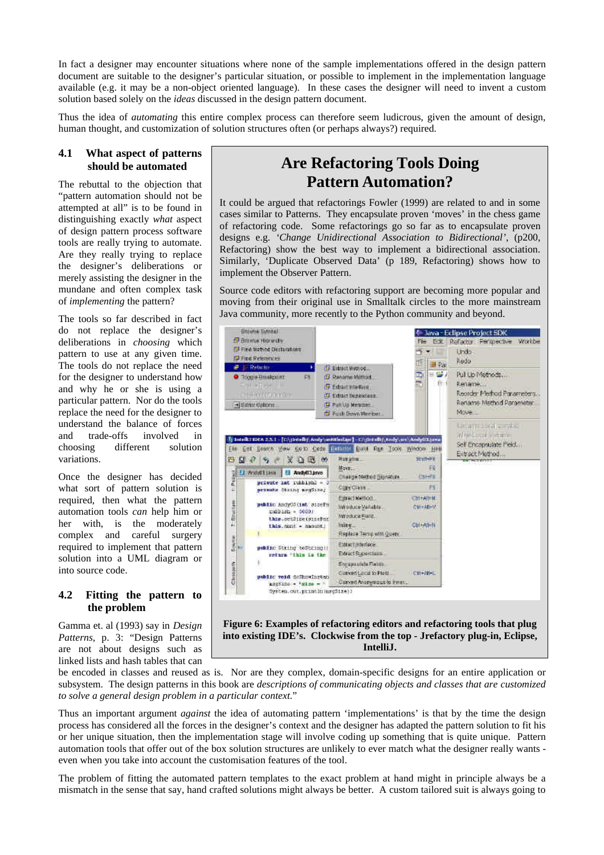In fact a designer may encounter situations where none of the sample implementations offered in the design pattern document are suitable to the designer's particular situation, or possible to implement in the implementation language available (e.g. it may be a non-object oriented language). In these cases the designer will need to invent a custom solution based solely on the *ideas* discussed in the design pattern document.

Thus the idea of *automating* this entire complex process can therefore seem ludicrous, given the amount of design, human thought, and customization of solution structures often (or perhaps always?) required.

#### **4.1 What aspect of patterns should be automated**

The rebuttal to the objection that "pattern automation should not be attempted at all" is to be found in distinguishing exactly *what* aspect of design pattern process software tools are really trying to automate. Are they really trying to replace the designer's deliberations or merely assisting the designer in the mundane and often complex task of *implementing* the pattern?

The tools so far described in fact do not replace the designer's deliberations in *choosing* which pattern to use at any given time. The tools do not replace the need for the designer to understand how and why he or she is using a particular pattern. Nor do the tools replace the need for the designer to understand the balance of forces and trade-offs involved in choosing different solution variations.

Once the designer has decided what sort of pattern solution is required, then what the pattern automation tools *can* help him or her with, is the moderately complex and careful surgery required to implement that pattern solution into a UML diagram or into source code.

#### **4.2 Fitting the pattern to the problem**

Gamma et. al (1993) say in *Design Patterns*, p. 3: "Design Patterns are not about designs such as linked lists and hash tables that can

# **Are Refactoring Tools Doing Pattern Automation?**

It could be argued that refactorings Fowler (1999) are related to and in some cases similar to Patterns. They encapsulate proven 'moves' in the chess game of refactoring code. Some refactorings go so far as to encapsulate proven designs e.g. *'Change Unidirectional Association to Bidirectional'*, (p200, Refactoring) show the best way to implement a bidirectional association. Similarly, 'Duplicate Observed Data' (p 189, Refactoring) shows how to implement the Observer Pattern.

Source code editors with refactoring support are becoming more popular and moving from their original use in Smalltalk circles to the more mainstream Java community, more recently to the Python community and beyond.



**Figure 6: Examples of refactoring editors and refactoring tools that plug into existing IDE's. Clockwise from the top - Jrefactory plug-in, Eclipse, IntelliJ.**

be encoded in classes and reused as is. Nor are they complex, domain-specific designs for an entire application or subsystem. The design patterns in this book are *descriptions of communicating objects and classes that are customized to solve a general design problem in a particular context.*"

Thus an important argument *against* the idea of automating pattern 'implementations' is that by the time the design process has considered all the forces in the designer's context and the designer has adapted the pattern solution to fit his or her unique situation, then the implementation stage will involve coding up something that is quite unique. Pattern automation tools that offer out of the box solution structures are unlikely to ever match what the designer really wants even when you take into account the customisation features of the tool.

The problem of fitting the automated pattern templates to the exact problem at hand might in principle always be a mismatch in the sense that say, hand crafted solutions might always be better. A custom tailored suit is always going to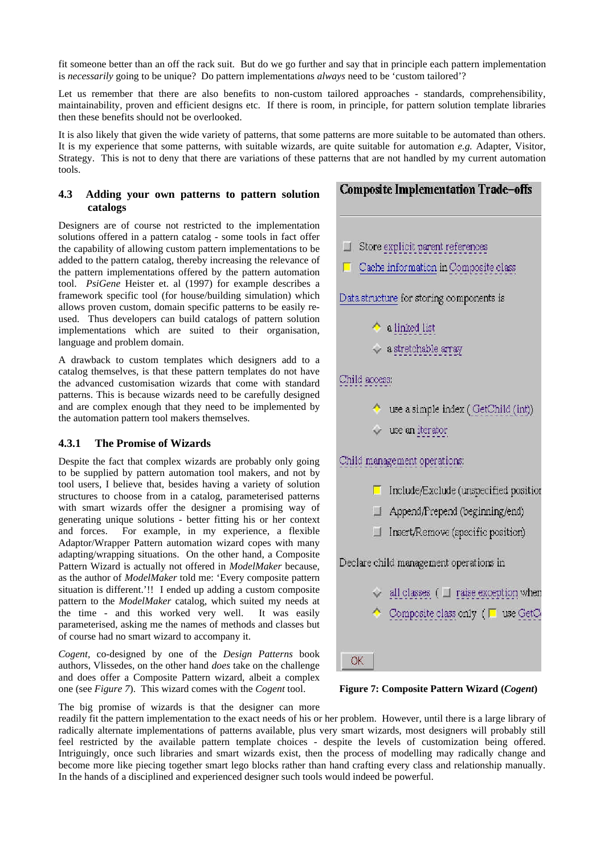fit someone better than an off the rack suit. But do we go further and say that in principle each pattern implementation is *necessarily* going to be unique? Do pattern implementations *always* need to be 'custom tailored'?

Let us remember that there are also benefits to non-custom tailored approaches - standards, comprehensibility, maintainability, proven and efficient designs etc. If there is room, in principle, for pattern solution template libraries then these benefits should not be overlooked.

It is also likely that given the wide variety of patterns, that some patterns are more suitable to be automated than others. It is my experience that some patterns, with suitable wizards, are quite suitable for automation *e.g.* Adapter, Visitor, Strategy. This is not to deny that there are variations of these patterns that are not handled by my current automation tools.

#### **4.3 Adding your own patterns to pattern solution catalogs**

Designers are of course not restricted to the implementation solutions offered in a pattern catalog - some tools in fact offer the capability of allowing custom pattern implementations to be added to the pattern catalog, thereby increasing the relevance of the pattern implementations offered by the pattern automation tool. *PsiGene* Heister et. al (1997) for example describes a framework specific tool (for house/building simulation) which allows proven custom, domain specific patterns to be easily reused. Thus developers can build catalogs of pattern solution implementations which are suited to their organisation, language and problem domain.

A drawback to custom templates which designers add to a catalog themselves, is that these pattern templates do not have the advanced customisation wizards that come with standard patterns. This is because wizards need to be carefully designed and are complex enough that they need to be implemented by the automation pattern tool makers themselves.

# **4.3.1 The Promise of Wizards**

Despite the fact that complex wizards are probably only going to be supplied by pattern automation tool makers, and not by tool users, I believe that, besides having a variety of solution structures to choose from in a catalog, parameterised patterns with smart wizards offer the designer a promising way of generating unique solutions - better fitting his or her context and forces. For example, in my experience, a flexible Adaptor/Wrapper Pattern automation wizard copes with many adapting/wrapping situations. On the other hand, a Composite Pattern Wizard is actually not offered in *ModelMaker* because, as the author of *ModelMaker* told me: 'Every composite pattern situation is different.'!! I ended up adding a custom composite pattern to the *ModelMaker* catalog, which suited my needs at the time - and this worked very well. It was easily parameterised, asking me the names of methods and classes but of course had no smart wizard to accompany it.

*Cogent,* co-designed by one of the *Design Patterns* book authors, Vlissedes, on the other hand *does* take on the challenge and does offer a Composite Pattern wizard, albeit a complex one (see *Figure 7*). This wizard comes with the *Cogent* tool.

# **Composite Implementation Trade-offs**

- $\Box$  Store explicit parent references
- Cache information in Composite class

Data structure for storing components is

- a linked list
- $\sim$  a stretchable array

# Child access:

- use a simple index (GetChild (int))
- $\vee$  use an iterator

# Child management operations:

- $\Box$  Include/Exclude (unspecified position
- $\Box$  Append/Prepend (beginning/end)
- $\Box$  Insert/Remove (specific position)

Declare child management operations in

- $\vee$  all classes ( $\Box$  raise exception when
- Composite class only  $($   $\Box$  use GetC

**OK** 

**Figure 7: Composite Pattern Wizard (***Cogent***)**

The big promise of wizards is that the designer can more

readily fit the pattern implementation to the exact needs of his or her problem. However, until there is a large library of radically alternate implementations of patterns available, plus very smart wizards, most designers will probably still feel restricted by the available pattern template choices - despite the levels of customization being offered. Intriguingly, once such libraries and smart wizards exist, then the process of modelling may radically change and become more like piecing together smart lego blocks rather than hand crafting every class and relationship manually. In the hands of a disciplined and experienced designer such tools would indeed be powerful.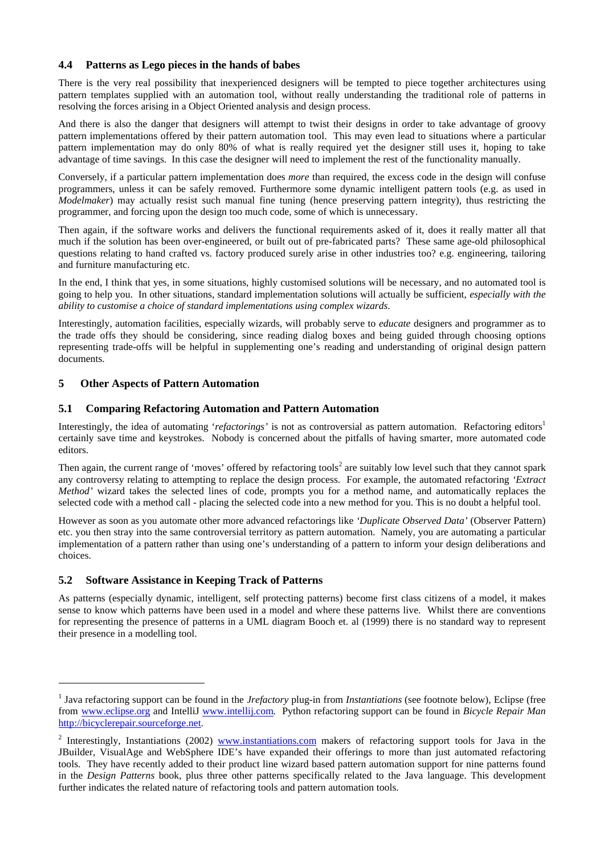#### **4.4 Patterns as Lego pieces in the hands of babes**

There is the very real possibility that inexperienced designers will be tempted to piece together architectures using pattern templates supplied with an automation tool, without really understanding the traditional role of patterns in resolving the forces arising in a Object Oriented analysis and design process.

And there is also the danger that designers will attempt to twist their designs in order to take advantage of groovy pattern implementations offered by their pattern automation tool. This may even lead to situations where a particular pattern implementation may do only 80% of what is really required yet the designer still uses it, hoping to take advantage of time savings. In this case the designer will need to implement the rest of the functionality manually.

Conversely, if a particular pattern implementation does *more* than required, the excess code in the design will confuse programmers, unless it can be safely removed. Furthermore some dynamic intelligent pattern tools (e.g. as used in *Modelmaker*) may actually resist such manual fine tuning (hence preserving pattern integrity), thus restricting the programmer, and forcing upon the design too much code, some of which is unnecessary.

Then again, if the software works and delivers the functional requirements asked of it, does it really matter all that much if the solution has been over-engineered, or built out of pre-fabricated parts? These same age-old philosophical questions relating to hand crafted vs. factory produced surely arise in other industries too? e.g. engineering, tailoring and furniture manufacturing etc.

In the end, I think that yes, in some situations, highly customised solutions will be necessary, and no automated tool is going to help you. In other situations, standard implementation solutions will actually be sufficient, *especially with the ability to customise a choice of standard implementations using complex wizards*.

Interestingly, automation facilities, especially wizards, will probably serve to *educate* designers and programmer as to the trade offs they should be considering, since reading dialog boxes and being guided through choosing options representing trade-offs will be helpful in supplementing one's reading and understanding of original design pattern documents.

# **5 Other Aspects of Pattern Automation**

#### **5.1 Comparing Refactoring Automation and Pattern Automation**

Interestingly, the idea of automating '*refactorings'* is not as controversial as pattern automation. Refactoring editors<sup>1</sup> certainly save time and keystrokes. Nobody is concerned about the pitfalls of having smarter, more automated code editors.

Then again, the current range of 'moves' offered by refactoring tools<sup>2</sup> are suitably low level such that they cannot spark any controversy relating to attempting to replace the design process. For example, the automated refactoring *'Extract Method'* wizard takes the selected lines of code, prompts you for a method name, and automatically replaces the selected code with a method call - placing the selected code into a new method for you. This is no doubt a helpful tool.

However as soon as you automate other more advanced refactorings like *'Duplicate Observed Data'* (Observer Pattern) etc. you then stray into the same controversial territory as pattern automation. Namely, you are automating a particular implementation of a pattern rather than using one's understanding of a pattern to inform your design deliberations and choices.

# **5.2 Software Assistance in Keeping Track of Patterns**

l

As patterns (especially dynamic, intelligent, self protecting patterns) become first class citizens of a model, it makes sense to know which patterns have been used in a model and where these patterns live. Whilst there are conventions for representing the presence of patterns in a UML diagram Booch et. al (1999) there is no standard way to represent their presence in a modelling tool.

<sup>&</sup>lt;sup>1</sup> Java refactoring support can be found in the *Jrefactory* plug-in from *Instantiations* (see footnote below), Eclipse (free from www.eclipse.org and IntelliJ www.intellij.com. Python refactoring support can be found in *Bicycle Repair Man* http://bicyclerepair.sourceforge.net.

<sup>&</sup>lt;sup>2</sup> Interestingly, Instantiations (2002) www.instantiations.com makers of refactoring support tools for Java in the JBuilder, VisualAge and WebSphere IDE's have expanded their offerings to more than just automated refactoring tools. They have recently added to their product line wizard based pattern automation support for nine patterns found in the *Design Patterns* book, plus three other patterns specifically related to the Java language. This development further indicates the related nature of refactoring tools and pattern automation tools.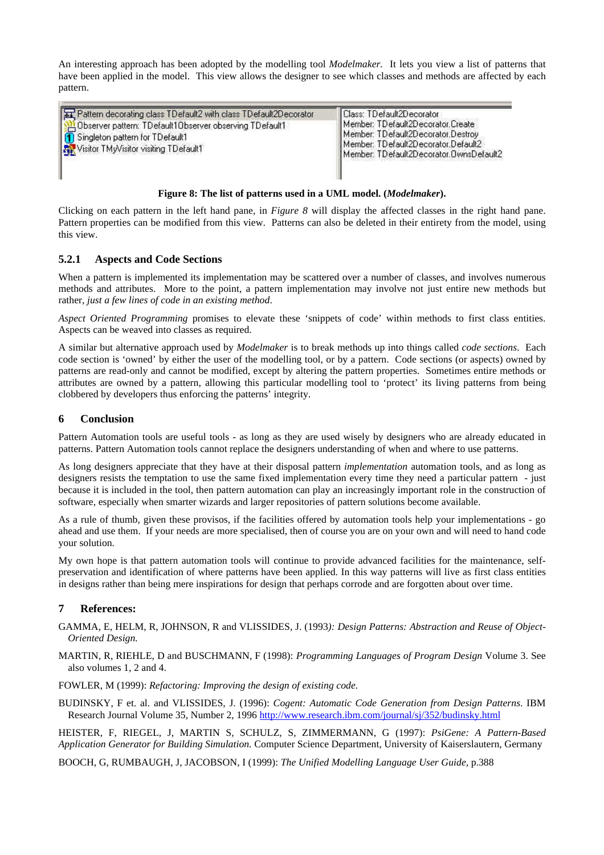An interesting approach has been adopted by the modelling tool *Modelmaker.* It lets you view a list of patterns that have been applied in the model. This view allows the designer to see which classes and methods are affected by each pattern.

| Pattern decorating class TDefault2 with class TDefault2Decorator<br>Observer pattern: TDefault10bserver observing TDefault1<br>  1 Singleton pattern for TDefault1<br>Visitor TMyVisitor visiting TDefault1 | Class: TDefault2Decorator <br>Member: TDefault2Decorator.Create<br>Member: TDefault2Decorator.Destroy<br>Member: TDefault2Decorator.Default2<br>Member: TDefault2Decorator.DwnsDefault2 |
|-------------------------------------------------------------------------------------------------------------------------------------------------------------------------------------------------------------|-----------------------------------------------------------------------------------------------------------------------------------------------------------------------------------------|
|-------------------------------------------------------------------------------------------------------------------------------------------------------------------------------------------------------------|-----------------------------------------------------------------------------------------------------------------------------------------------------------------------------------------|

#### **Figure 8: The list of patterns used in a UML model. (***Modelmaker***).**

Clicking on each pattern in the left hand pane, in *Figure 8* will display the affected classes in the right hand pane. Pattern properties can be modified from this view. Patterns can also be deleted in their entirety from the model, using this view.

#### **5.2.1 Aspects and Code Sections**

When a pattern is implemented its implementation may be scattered over a number of classes, and involves numerous methods and attributes. More to the point, a pattern implementation may involve not just entire new methods but rather, *just a few lines of code in an existing method*.

*Aspect Oriented Programming* promises to elevate these 'snippets of code' within methods to first class entities. Aspects can be weaved into classes as required.

A similar but alternative approach used by *Modelmaker* is to break methods up into things called *code sections*. Each code section is 'owned' by either the user of the modelling tool, or by a pattern. Code sections (or aspects) owned by patterns are read-only and cannot be modified, except by altering the pattern properties. Sometimes entire methods or attributes are owned by a pattern, allowing this particular modelling tool to 'protect' its living patterns from being clobbered by developers thus enforcing the patterns' integrity.

#### **6 Conclusion**

Pattern Automation tools are useful tools - as long as they are used wisely by designers who are already educated in patterns. Pattern Automation tools cannot replace the designers understanding of when and where to use patterns.

As long designers appreciate that they have at their disposal pattern *implementation* automation tools, and as long as designers resists the temptation to use the same fixed implementation every time they need a particular pattern - just because it is included in the tool, then pattern automation can play an increasingly important role in the construction of software, especially when smarter wizards and larger repositories of pattern solutions become available.

As a rule of thumb, given these provisos, if the facilities offered by automation tools help your implementations - go ahead and use them. If your needs are more specialised, then of course you are on your own and will need to hand code your solution.

My own hope is that pattern automation tools will continue to provide advanced facilities for the maintenance, selfpreservation and identification of where patterns have been applied. In this way patterns will live as first class entities in designs rather than being mere inspirations for design that perhaps corrode and are forgotten about over time.

# **7 References:**

GAMMA, E, HELM, R, JOHNSON, R and VLISSIDES, J. (1993*): Design Patterns: Abstraction and Reuse of Object-Oriented Design.*

MARTIN, R, RIEHLE, D and BUSCHMANN, F (1998): *Programming Languages of Program Design* Volume 3. See also volumes 1, 2 and 4.

FOWLER, M (1999): *Refactoring: Improving the design of existing code.*

BUDINSKY, F et. al. and VLISSIDES, J. (1996): *Cogent: Automatic Code Generation from Design Patterns*. IBM Research Journal Volume 35, Number 2, 1996 http://www.research.ibm.com/journal/sj/352/budinsky.html

HEISTER, F, RIEGEL, J, MARTIN S, SCHULZ, S, ZIMMERMANN, G (1997): *PsiGene: A Pattern-Based Application Generator for Building Simulation.* Computer Science Department, University of Kaiserslautern, Germany

BOOCH, G, RUMBAUGH, J, JACOBSON, I (1999): *The Unified Modelling Language User Guide,* p.388